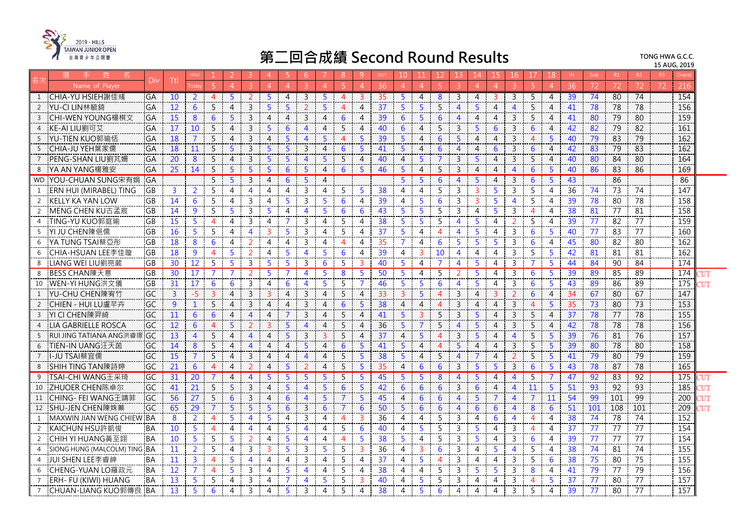

|                 | 姓<br>名                         |           |                 | <b>HOLE</b>       |                |                | 3.             | $\overline{4}$        | 5.             | -6                    |                | 8              | -9             | OUT             | 10 <sup>°</sup> | 11             | 12             | 13.                     | 14             | 15.            | 16             | 17             | 18             | IN. | Sub             | R1              | R2              | R3 | Overa            |            |
|-----------------|--------------------------------|-----------|-----------------|-------------------|----------------|----------------|----------------|-----------------------|----------------|-----------------------|----------------|----------------|----------------|-----------------|-----------------|----------------|----------------|-------------------------|----------------|----------------|----------------|----------------|----------------|-----|-----------------|-----------------|-----------------|----|------------------|------------|
|                 | Name of Player                 | Div       | Ttl             |                   |                |                |                |                       |                |                       |                |                | $\overline{A}$ | 36              | $\overline{4}$  | $\overline{4}$ | 5.             | $\mathcal{B}$           | $\overline{4}$ | $\overline{4}$ |                |                |                | 36  | 72              | 72              | 72              | 72 | 216              |            |
| 1               | CHIA-YU HSIEH謝佳彧               | <b>GA</b> | 10              | $\overline{2}$    | $\overline{4}$ | 5              | 2              | -5                    | 4              | 3                     | 5              | $\overline{4}$ | 3              | 35              | $5^{\circ}$     | $\overline{4}$ | 8              | 3                       | $\overline{4}$ | 3              | 3              | 5              | $\overline{4}$ | 39  | 74              | 80              | 74              |    | 154              |            |
| 2               | YU-CI LIN林毓錡                   | GA        | 12              | 6                 | 5              | $\overline{4}$ | $\overline{3}$ | $5^{\circ}$           | $\overline{5}$ | $\mathcal{L}$         | $\overline{5}$ | $\Delta$       | 4              | 37              | 5 <sup>1</sup>  | 5 <sup>1</sup> | 5              | $\overline{4}$          | 5 <sup>1</sup> | $\overline{4}$ | $\overline{4}$ | 5              | $\overline{4}$ | 41  | 78              | 78              | 78              |    | 156              |            |
| $\overline{3}$  | CHI-WEN YOUNG楊棋文               | GA        | 15              | 8                 | 6              | 5              | $\overline{3}$ | $\overline{4}$        | $\overline{4}$ | $\overline{3}$        | 4              | 6              | $\overline{4}$ | 39              | 6               | 5              | 6              | $\overline{4}$          | $\overline{4}$ | $\overline{4}$ | $\mathbf{3}$   | 5              | 4              | 41  | 80              | 79              | 80              |    | 159              |            |
| $\overline{4}$  | KE-AI LIU劉可艾                   | GA        | 17              | 10                | 5              | $\overline{4}$ | 3              | 5                     | 6              | 4                     | 4              | 5              | 4              | 40              | 6               | $\overline{4}$ | 5              | 3                       | 5              | 6              | $\overline{3}$ | 6              | 4              | 42  | 82              | 79              | 82              |    | 161              |            |
| - 5             | YU-TIEN KUO郭瑜恬                 | GA        | 18              | 7                 | 5              | $\overline{4}$ | $\overline{3}$ | $\overline{4}$        | -5             | $\overline{4}$        | 5              | $\Delta$       | 5              | 39              | 5 <sup>5</sup>  | $\overline{4}$ | 6              | 5                       | $\overline{4}$ | $\overline{4}$ | $\mathbf{3}$   | $\overline{4}$ | 5              | 40  | 79              | $\overline{83}$ | 79              |    | 162              |            |
| - 5             | CHIA-JU YEH葉家儒                 | GA        | 18              | 11                | 5              | 5              | $\mathbf{3}$   | $\overline{5}$        | 5              | 3                     | 4              | 6              | 5              | 41              | 5 <sup>5</sup>  | $\overline{4}$ | 6              | $\overline{4}$          | $\overline{4}$ | 6              | $\mathbf{3}$   | 6              | $\overline{4}$ | 42  | 83              | 79              | 83              |    | 162              |            |
| $7\overline{ }$ | PENG-SHAN LIU劉芃姍               | GA        | 20              | 8                 | 5              | $\overline{4}$ | $\overline{3}$ | 5                     | 5              | $\Delta$              | 5              | 5              | $\overline{4}$ | 40              | $\overline{4}$  | 5 <sup>5</sup> | $\overline{7}$ | $\mathsf{3}$            | 5              | $\overline{4}$ | $\mathsf{3}$   | 5              | $\overline{4}$ | 40  | 80              | $\overline{84}$ | 80              |    | 164              |            |
| 8               | YA AN YANG楊雅安                  | GA        | 25              | 14                | 5              | 5              | 5              | 5                     | 6              | 5                     | 4              | 6              | 5              | 46              | 5               | $\overline{4}$ | 5              | 3                       | $\overline{4}$ | 4              | $\overline{4}$ | 6              | 5              | 40  | 86              | 83              | 86              |    | 169              |            |
| <b>WD</b>       | YOU-CHUAN SUNG宋有娟              | <b>GA</b> |                 |                   | 5              | 5              | $\overline{3}$ | $\overline{4}$        | 6              | 5                     | 4              |                |                |                 | 5 <sup>5</sup>  | 5 <sup>5</sup> | 6              | $\overline{4}$          | 5              | $\overline{4}$ | $\mathbf{3}$   | 6              | 5              | 43  |                 | 86              |                 |    | 86               |            |
| -1              | ERN HUI (MIRABEL) TING         | GB        | $\overline{3}$  | 2                 | 5              | 4              | $\overline{4}$ | $\overline{4}$        | 4              | 3                     | 4              | 5              | -5             | 38              | $\overline{4}$  | $\overline{4}$ | 5              | $\mathbf{3}$            | $\overline{3}$ | 5              | $\mathbf{3}$   | 5              | $\overline{4}$ | 36  | 74              | 73              | 74              |    | 147              |            |
| 2               | <b>KELLY KA YAN LOW</b>        | GB        | 14              | 6                 | 5              | 4              | 3              | 4                     | 5              | 3                     | 5              | 6              | $\overline{4}$ | 39              | $\overline{4}$  | 5              | 6              | 3                       | 3              | 5              | $\overline{4}$ | 5              | 4              | 39  | 78              | 80              | 78              |    | 158              |            |
| 2               | MENG CHEN KU古孟宸                | <b>GB</b> | 14              | 9                 | 5              | 5              | $\overline{3}$ | 5                     | 4              | 4                     | 5              | 6              | 6              | 43              | 5 <sup>5</sup>  | 5              | 5              | $\overline{3}$          | $\overline{4}$ | 5              | 3              | $\overline{4}$ | $\overline{4}$ | 38  | 81              | $\overline{77}$ | $\overline{81}$ |    | 158              |            |
| $\overline{4}$  | TING-YU KUO郭庭瑜                 | GB        | 15              | 5.                | $\overline{4}$ | 4              | 3              | 4                     | 7              | 3                     | 4              | 5              | 4              | 38              | 5               | 5              | 5              | $\overline{4}$          | 5              | 4              | $\overline{2}$ | 5.             | 4              | 39  | 77              | 82              | 77              |    | 159              |            |
| - 5             | YI JU CHEN陳俋儒                  | <b>GB</b> | 16              | 5.                | 5              | 4              | $\overline{4}$ | 3                     | 5              | 3                     | 4              | 5              | 4              | 37              | 5               | 4              | $\overline{4}$ | $\overline{4}$          | 5              | 4              | $\mathbf{3}$   | 6              | 5              | 40  | 77              | 83              | 77              |    | 160              |            |
| 6               | YA TUNG TSAI蔡亞彤                | <b>GB</b> | 18              | 8                 | 6              | $\overline{4}$ | 2              | 4                     | $\overline{4}$ | 3                     | 4              | 4              | 4              | 35              | $\overline{7}$  | 4              | 6              | 5                       | 5              | 5              | 3              | 6              | 4              | 45  | 80              | $\overline{82}$ | $\overline{80}$ |    | 162              |            |
| -6              | CHIA-HSUAN LEE李佳璇              | GB.       | 18              | 9                 | $\overline{4}$ | 5              | 2              | 4                     | -5             | $\overline{4}$        | 5              | 6              | $\overline{4}$ | 39              | $\overline{4}$  | $\mathbf{3}$   | 10             | $\overline{4}$          | $\overline{4}$ | $\overline{4}$ | 3              | 5              | 5              | 42  | 81              | 81              | 81              |    | $\overline{162}$ |            |
| 8               | LIANG WEI LIU劉亮葳               | <b>GB</b> | 30              | $12 \overline{ }$ | 5              | 5              | 3              | 5                     | 5              | 3                     | 6              | 5              | $\overline{3}$ | 40              | 5               | $\overline{4}$ | $\overline{7}$ | $\overline{4}$          | 5              | 4              | 3              | $\overline{7}$ | 5              | 44  | 84              | 90              | 84              |    | 174              |            |
| 8               | BESS CHAN陳天意                   | GB        | 30              | 17                | 7              |                | 2              | 5.                    | 7              | $\overline{4}$        | 5              | 8              | -5             | 50              | $\overline{5}$  | $\overline{4}$ | 5              | $\overline{2}$          | 5              | $\overline{4}$ | 3              | 6              | 5              | 39  | 89              | 85              | 89              |    | 174              | דו זי      |
| 10              | WEN-YI HUNG洪文儀                 | GB        | 31              | 17                | 6              | 6              | $\overline{3}$ | 4                     | 6              | 4                     | 5              | 5              | 7              | 46              | 5               | 5              | 6              | 4                       | 5              | $\overline{4}$ | 3              | 6              | 5              | 43  | 89              | $\overline{86}$ | 89              |    | 175              |            |
| 1               | YU-CHU CHEN陳宥竹                 | <b>GC</b> | $\overline{3}$  | $-5$              | 3              | $\overline{4}$ | 3              | 3                     | 4              | 3                     | 4              | 5              | 4              | 33              | $\overline{3}$  | 5 <sup>5</sup> | $\overline{4}$ | 3                       | $\overline{4}$ | 3              | 2              | 6              | 4              | 34  | 67              | 80              | 67              |    | 147              |            |
| 2               | CHIEN - HUI LU盧芊卉              | GC        | 9               | $\mathbf{1}$      | 5              | 4              | $\overline{3}$ | $\overline{4}$        | $\overline{4}$ | 3                     | 4              | 6              | -5             | 38              | $\overline{4}$  | $\overline{4}$ | $\overline{4}$ | $\mathbf{3}$            | $\overline{4}$ | $\overline{4}$ | $\mathbf{3}$   | $\overline{A}$ | 5              | 35  | 73              | 80              | $\overline{73}$ |    | 153              |            |
| $\overline{3}$  | YI CI CHEN陳羿綺                  | GC        | 11              | 6                 | 6              | 4              | $\overline{4}$ | $\overline{4}$        | 7              | 3                     | 4              | 5              | $\overline{4}$ | 41              | 5 <sup>1</sup>  | $\mathbf{3}$   | 5              | $\overline{3}$          | 5              | $\overline{4}$ | $\mathbf{3}$   | 5              | 4              | 37  | 78              | 77              | 78              |    | 155              |            |
|                 | LIA GABRIELLE ROSCA            | GC        | 12              | 6                 | $\overline{4}$ | 5              | 2              | $\mathbf{R}$          | 5              | $\Delta$              | $\overline{4}$ | 5              | $\overline{4}$ | $\overline{36}$ | 5               | $\overline{7}$ | 5              | $\overline{4}$          | 5              | $\overline{4}$ | $\mathsf{3}$   | 5              | $\overline{4}$ | 42  | 78              | $\overline{78}$ | 78              |    | 156              |            |
| -5              | <b>RUI JING TATIANA ANG洪睿璟</b> | GC        | 13              | $\overline{4}$    | 5              | 4              | $\overline{4}$ | 4                     | 5              | 3                     | 3              | 5              | $\overline{4}$ | 37              | $\overline{4}$  | 5              | $\overline{4}$ | $\mathbf{3}$            | $\overline{5}$ | $\overline{4}$ | $\overline{4}$ | 5              | 5              | 39  | 76              | $\overline{81}$ | 76              |    | 157              |            |
| - 6             | TIEN-IN UANG汪天茵                | GC        | 14              | 8                 | 5              | 4              | $\overline{4}$ | 4                     | $\overline{4}$ | 5                     | 4              | 6              | 5              | 41              | 5               | $\overline{4}$ | $\overline{4}$ | 5                       | 4              | 4              | 3              | 5              | 5              | 39  | 80              | 78              | 80              |    | 158              |            |
| $7\overline{ }$ | -JU TSAI蔡宜儒                    | GC        | 15              | $\overline{7}$    | 5              | $\overline{4}$ | $\overline{3}$ | $\overline{4}$        | $\overline{A}$ | $\boldsymbol{\Delta}$ | 4              | 5              | -5             | 38              | $5^{\circ}$     | $\overline{4}$ | $\overline{5}$ | $\overline{4}$          | $\overline{7}$ | $\overline{4}$ | $\overline{2}$ | 5              | $\overline{5}$ | 41  | 79              | 80              | 79              |    | 159              |            |
| 8               | SHIH TING TAN陳詩婷               | <b>GC</b> | 21              | 6                 | $\overline{4}$ | $\overline{4}$ | 2              | $\overline{4}$        | 5              | 2                     | 4              | 5              | $\overline{5}$ | 35              | $\overline{4}$  | 6              | 6              | 3                       | 5              | 5              | $\mathsf{3}$   | 6              | 5              | 43  | 78              | 87              | 78              |    | 165              |            |
| 9               | TSAI-CHI WANG王采琦               | GC        | $\overline{31}$ | $\overline{20}$   |                | 4              | $\overline{4}$ | 5                     | 5              | 5                     | 5              | 5              | 5              | 45              | 5 <sup>5</sup>  | 5              | 8              | $\overline{4}$          | 5              | $\overline{4}$ | $\overline{4}$ | 5              | $\overline{7}$ | 47  | $\overline{92}$ | 83              | $\overline{92}$ |    | 175              |            |
| 10              | ZHUOER CHEN陈卓尔                 | GC        | 41              | 21                | 5              | 5              | 3              | $\overline{4}$        | -5             | $\overline{4}$        | 5              | 6              | 5              | 42              | 6               | 6              | 6              | 3                       | 6              | 4              | 4              | 11             | 5              | 51  | 93              | 92              | 93              |    | 185              | ЧM         |
| 11              | CHING- FEI WANG干靖菲             | GC        | 56              | 27                | 5              | 6              | 3              | $\boldsymbol{\Delta}$ | 6              | $\boldsymbol{\Delta}$ | 5              |                | 5              | 45              | $\overline{4}$  | 6              | 6              | $\overline{4}$          | 5              |                | 4              | $\overline{7}$ | 11             | 54  | 99              | 101             | 99              |    | 200              | דו זי      |
| 12              | SHU-JEN CHEN陳姝蓁                | GC        | 65              | 29                | $\overline{7}$ | 5 <sup>5</sup> | $\overline{5}$ | 5                     | 6              | $\mathbf{3}$          | 6              | $\overline{7}$ | 6              | 50              | 5 <sup>5</sup>  | 6              | 6              | $\overline{4}$          | 6              | 6              | $\overline{4}$ | 8              | 6              | 51  | 101             | 108             | 101             |    | 209              | <b>IIT</b> |
| 1               | MAXWIN JIAN WENG CHIEW BA      |           | 8               | $\overline{2}$    | $\overline{4}$ | 5              | 4              | 5.                    | 4              | 3                     | 4              | $\overline{4}$ | $\overline{3}$ | 36              | $\overline{4}$  | $\overline{4}$ | 5              | 3                       | $\overline{4}$ | 6              | $\overline{4}$ | 4              | 4              | 38  | 74              | 78              | 74              |    | 152              |            |
| 2               | KAICHUN HSU許凱俊                 | <b>BA</b> | 10              | 5                 | $\overline{4}$ | 4              | $\overline{4}$ | $\overline{4}$        | 5              | 4                     | 4              | 5              | 6              | 40              | $\overline{4}$  | 5              | 5              | 3                       | 5              | $\overline{4}$ | $\mathsf{3}$   | $\overline{4}$ | $\overline{4}$ | 37  | 77              | $\frac{1}{77}$  | $\frac{1}{77}$  |    | 154              |            |
| 2               | CHIH YI HUANG黃至翊               | <b>BA</b> | 10              | 5                 | 5              | 5              | 2              | 4                     | -5             | $\overline{4}$        | 4              | 4              | 5              | 38              | 5               | 4              | 5              | 3                       | 5              | 4              | 3              | 6              | 4              | 39  | 77              | 77              | $\overline{77}$ |    | 154              |            |
| $\overline{4}$  | SIONG HUNG (MALCOLM) TING BA   |           | 11              | 2                 | 5              | 4              | 3              | 3                     | 5              | 3                     | 5              | 5              | 3              | 36              | 4               | 3              | 6              | 3                       | 4              |                | 4              | 5              | 4              | 38  | 74              | 81              | 74              |    | $\overline{155}$ |            |
| 4               | JUI SHEN LEE李睿紳                | :BA       | 11              | $\overline{3}$    | 4              | 5              | 4              | 4                     | 4              | 3                     | 4              | 5              | 4              | 37              | $\overline{4}$  | 5              | $\overline{4}$ | 3                       | 4              | $\overline{4}$ | $\mathsf{3}$   | 5              | 6              | 38  | 75              | 80              | 75              |    | 155              |            |
| -6              | CHENG-YUAN LO羅政元               | <b>BA</b> | 12              | $\overline{7}$    | $\overline{4}$ | 5              | 3              | 4                     | -5             | Δ                     | 4              | 5              | 4              | 38              | $\overline{4}$  | 4              | 5              | 3                       | 5              | 5              | 3              | 8              | 4              | 41  | 79              | 77              | 79              |    | 156              |            |
| 7               | ERH- FU (KIWI) HUANG           | BA        | 13              | 5                 | 5              | 4              | 3              | 4                     | 7              | 4                     | 5              | 5              | 3              | 40              | 4               | 5.             | 5              | $\overline{3}$          | 4              | 4              | 3              | $\overline{4}$ | 5              | 37  | 77              | 80              | 77              |    | $\overline{157}$ |            |
| $\overline{7}$  | CHUAN-LIANG KUO郭傳良 BA          |           | 13              | 5                 | 6              | 4              | 3              | 4                     | 5              | 3                     | 4              | 5              | $\overline{A}$ | 38              | 4               | 5              | 6              | $\overline{\mathbf{A}}$ | 4              | 4              | $\mathbf{3}$   | 5              | 4              | 39  | 77              | 80              | $\overline{77}$ |    | 157              |            |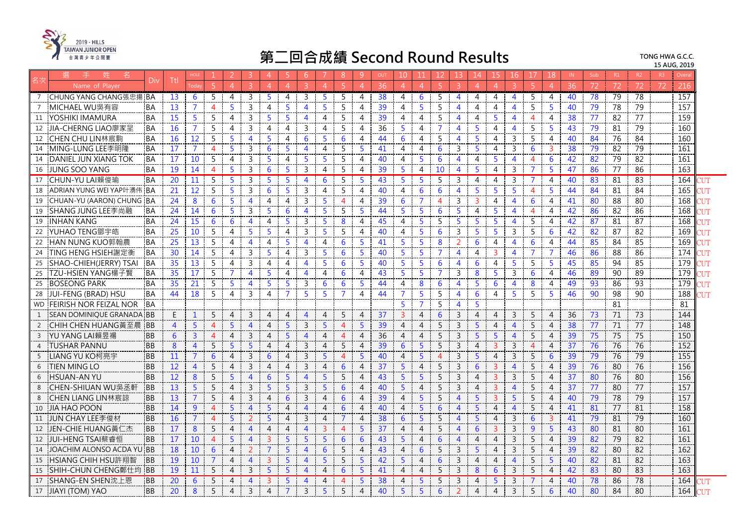

|                | 姓<br>名                    |           |                |                 |                |                |                          |                |                | 6                       |              | 8        | -9                    | OUT             | 10             | 11             | 12             | 13                       | 14             | 15             | 16             | 17             | 18             | IN. | Sub | R1              | R2              | R3 | Overa |       |
|----------------|---------------------------|-----------|----------------|-----------------|----------------|----------------|--------------------------|----------------|----------------|-------------------------|--------------|----------|-----------------------|-----------------|----------------|----------------|----------------|--------------------------|----------------|----------------|----------------|----------------|----------------|-----|-----|-----------------|-----------------|----|-------|-------|
|                | Name of Plaver            | Div       | Ttl            |                 |                |                |                          | $\overline{4}$ | $\Delta$       |                         | $\Lambda$    | -5       | $\overline{A}$        | 36              | $\overline{4}$ | $\overline{4}$ | -51            | $\mathcal{B}$            | $\overline{4}$ | $\overline{4}$ | 3.             | -5.            | $\overline{4}$ | 36  | 72  | 72              | 72              | 72 | 216   |       |
|                | CHUNG YANG CHANG張忠揚 BA    |           | 13             | 6               | -5             | 4              | 3                        | -5             | 4              | 3                       | 5            | -5       | 4                     | 38              | 4              | 6              | 5              | $\overline{4}$           | 4              | 4              | 4              | 5              | 4              | 40  | 78  | 79              | 78              |    | 157   |       |
| 7              | MICHAEL WU吳有容             | <b>BA</b> | 13             | 7               | $\overline{4}$ | 5              | 3                        | 4              | 5              | Δ                       | Б            | 5        | 4                     | 39              | $\overline{4}$ | 5              | 5              | 4                        | 4              | 4              | 4              | 5              | 5              | 40  | 79  | 78              | 79              |    | 157   |       |
| 11             | YOSHIKI IMAMURA           | <b>BA</b> | 15             | 5               | 5              | 4              | 3                        | 5              | -5             | 4                       | 4            | 5        | 4                     | 39              | 4              | $\overline{4}$ | 5              | $\boldsymbol{\varDelta}$ | 4              | 5              | 4              | 4              | 4              | 38  | 77  | 82              | 77              |    | 159   |       |
| 12             | JIA-CHERNG LIAO廖家呈        | <b>BA</b> | 16             | $\overline{7}$  | 5              | 4              | 3                        | 4              | 4              | 3                       | 4            | 5        | 4                     | 36              | 5              | 4              | $\overline{7}$ | 4                        | 5              | 4              | 4              | 5              | 5              | 43  | 79  | 81              | 79              |    | 160   |       |
| 12             | CHEN CHU LIN林宸駒           | <b>BA</b> | 16             | 12              | 5              | 5              | $\overline{4}$           | 5              | 4              | 6                       | 5            | 6        | 4                     | 44              | 6              | 4              | 5              | $\overline{4}$           | 5              | 4              | 3              | 5              | 4              | 40  | 84  | 76              | 84              |    | 160   |       |
| 14             | MING-LUNG LEE李明隆          | :BA       | 17             | 7               | 4              | 5              | 3                        | 6              | 5              | $\overline{4}$          | 4            | 5        | 5                     | 41              | 4              | 4              | 6              | 3                        | 5.             | 4              | 3              | 6              | 3              | 38  | 79  | 82              | 79              |    | 161   |       |
| -14            | DANIEL JUN XIANG TOK      | <b>BA</b> | 17             | 10              | 5              | 4              | $\mathbf{3}$             | -5             | 4              | 5                       | 5            | 5        | 4                     | 40              | $\overline{4}$ | 5              | 6              | $\overline{\mathbf{A}}$  | $\overline{4}$ | 5.             | $\overline{4}$ | $\overline{4}$ | 6              | 42  | 82  | 79              | 82              |    | 161   |       |
| 16             | JUNG SOO YANG             | <b>BA</b> | 19             | 14              | 4              | 5              | 3                        | 6              | 5              | 3                       | 4            | 5        | 4                     | 39              | 5              | 4              | 10             | $\overline{4}$           | 5              | 4              | 3              | 7              | 5              | 47  | 86  | 77              | 86              |    | 163   |       |
| 17             | CHUN-YU LAI賴俊瑜            | <b>BA</b> | 20             | 11              | 5              | 5              | 3                        | 5              | 5              | 4                       | 6            | 5        | 5                     | $\overline{43}$ | 5              | 5              | 5              | 3                        | 4              | 4              | 3              | 7              | $\overline{4}$ | 40  | 83  | 81              | 83              |    | 164   | NЛ    |
| 18             | ADRIAN YUNG WEI YAP叶湧伟    | 'BA       | 21             | 12              | 5              | -5             | 3                        | 6              | -5             | 3                       | 4            | 5        | $\overline{A}$        | 40              | $\overline{4}$ | 6              | 6              | $\overline{\mathbf{4}}$  | 5              | 5.             | 5.             | 4              | 5.             | 44  | 84  | 81              | $\overline{84}$ |    | 165   | ΊIΤ   |
| 19             | CHUAN-YU (AARON) CHUNG    | <b>BA</b> | 24             | 8               | 6              | 5              | $\overline{\mathcal{A}}$ | $\overline{A}$ | 4              | 3                       | 5            | Δ        | 4                     | 39              | 6              | $\overline{7}$ | 4              | $\overline{3}$           | 3              | 4              | 4              | 6              | 4              | 41  | 80  | 88              | 80              |    | 168   |       |
| 19             | SHANG JUNG LEE李尚融         | <b>BA</b> | 24             | 14              | 6              | $\overline{5}$ | $\mathbf{3}$             | 5.             | 6              | $\overline{4}$          | Б            | 5        | -5                    | 44              | $\overline{5}$ | 5              | 6              | 5.                       | $\overline{4}$ | 5              | $\overline{4}$ | $\overline{4}$ | 4              | 42  | 86  | 82              | 86              |    | 168   | ЧM    |
| 19             | <b>INHAN KANG</b>         | <b>BA</b> | 24             | 15              | 6              | 6              | 4                        | 4              | 5              | 3                       | 5            | 8        | 4                     | 45              | $\overline{4}$ | 5              | 5              | 5                        | 5              | 5              | 4              | 5              | 4              | 42  | 87  | 81              | 87              |    | 168   |       |
| 22             | YUHAO TENG鄧宇皓             | BA        | 25             | 10              | 5              | 4              | 5                        |                | 4              | 3                       | 5            | 5        | 4                     | 40              | 4              | 5              | 6              | 3                        | 5              | 5              | 3              | 5              | 6              | 42  | 82  | 87              | 82              |    | 169   |       |
| 22             | HAN NUNG KUO郭翰農           | <b>BA</b> | 25             | 13              | 5              | $\overline{4}$ | $\overline{4}$           | $\overline{4}$ | -5             | $\overline{4}$          | 4            | 6        | -5                    | 41              | 5              | 5              | 8              | 2                        | 6              | 4              | $\overline{4}$ | 6              | $\overline{4}$ | 44  | 85  | 84              | 85              |    | 169   | ΊIΤ   |
| 24             | TING HENG HSIEH謝定衡        | <b>BA</b> | 30             | 14              | 5              | 4              | 3                        | 5              | 4              | 3                       | 5            | 6        | 5                     | 40              | 5              | 5              | $\overline{7}$ | $\overline{4}$           | 4              | 3              | 4              | $\overline{7}$ | 7              | 46  | 86  | 88              | 86              |    | 174   | 'UT   |
| 25             | SHAO-CHIEH(JERRY) TSAI    | <b>BA</b> | 35             | 13              | 5              | 4              | $\overline{3}$           | 4              | 4              | Δ                       | Б            | 6        | -5                    | 40              | 5 <sup>5</sup> | 5              | 6              | $\boldsymbol{\Delta}$    | 6              | $\overline{4}$ | 5.             | 5              | 5              | 45  | 85  | $\overline{94}$ | 85              |    | 179   |       |
| 25             | TZU-HSIEN YANG楊子賢         | <b>BA</b> | 35             | 17              | 5              | 7              | $\overline{A}$           | -5             | 4              | $\overline{4}$          | 4            | 6        | 4                     | 43              | 5              | 5              | $\overline{7}$ | 3                        | 8              | 5              | 3              | 6              | 4              | 46  | 89  | 90              | 89              |    | 179   | ЧM    |
| 25             | BOSEONG PARK              | BA        | 35             | 21              | 5              | -5             | 4                        | 5              | 5              | 3                       | 6            | 6        | 5                     | 44              | 4              | 8              | 6              | 4                        | 5              | 6              | 4              | 8              | 4              | 49  | 93  | 86              | 93              |    | 179   | דו זי |
| 28             | JUI-FENG (BRAD) HSU       | 'BA       | 44             | 18              | 5              | 4              | 3                        | 4              | 7              | 5                       | 5            | 7        | 4                     | 44              | $\overline{7}$ | 5              | 5              | 4                        | 6              | 4              | 5.             | 5              | 5              | 46  | 90  | 98              | 90              |    | 188   | דוד   |
| <b>WD</b>      | FEIRISH NOR FEIZAL NOR    | <b>BA</b> |                |                 |                |                |                          |                |                |                         |              |          |                       |                 | $\overline{5}$ |                | 5              | 4                        | 5              |                |                |                |                |     |     | 81              |                 |    | 81    |       |
| 1              | SEAN DOMINIQUE GRANADA BB |           | E              | -1              | 5              | $\overline{4}$ | 3                        | 4              | $\overline{A}$ | $\overline{\mathbf{A}}$ | 4            | 5        | $\boldsymbol{\Delta}$ | 37              | $\overline{3}$ | $\overline{4}$ | 6              | $\overline{3}$           | $\overline{4}$ | 4              | 3              | 5              | 4              | 36  | 73  | 71              | 73              |    | 144   |       |
| 2              | CHIH CHEN HUANG黃至晨        | <b>BB</b> | $\overline{4}$ | 5               | $\overline{4}$ | 5              | $\overline{4}$           | 4              | 5              | 3                       | 5            | $\Delta$ | 5                     | 39              | $\overline{4}$ | $\overline{4}$ | 5              | 3                        | 5              | $\overline{4}$ | $\overline{4}$ | 5              | $\overline{4}$ | 38  | 77  | $\overline{71}$ | 77              |    | 148   |       |
| $\overline{3}$ | YU YANG LAI賴昱禓            | <b>BB</b> | 6              | 3               |                | 4              | 3                        | 4              | 5              | 4                       | 4            | 4        | 4                     | 36              | $\overline{4}$ | $\overline{4}$ | 5              | 3                        | 5              | 5              | 4              | 5              | 4              | 39  | 75  | $\overline{75}$ | 75              |    | 150   |       |
| $\overline{4}$ | TUSHAR PANNU              | <b>BB</b> | 8              | $\overline{4}$  | 5              | 5              | 5                        | 4              | $\overline{4}$ | 3                       | 4            | 5        | $\boldsymbol{\Delta}$ | 39              | 6              | 5 <sup>1</sup> | 5              | $\mathbf{3}$             | $\overline{4}$ | $\overline{3}$ | 3              | $\overline{4}$ | 4              | 37  | 76  | 76              | 76              |    | 152   |       |
| -5             | LIANG YU KO柯亮宇            | <b>BB</b> | 11             |                 | 6              | $\overline{4}$ | 3                        | 6              | $\Delta$       | $\overline{3}$          | 5            | $\Delta$ | 5                     | 40              | $\overline{4}$ | 5              | $\overline{4}$ | 3                        | 5              | $\overline{4}$ | 3              | 5              | 6              | 39  | 79  | 76              | 79              |    | 155   |       |
| -6             | <b>TIEN MING LO</b>       | <b>BB</b> | 12             | $\overline{4}$  | 5              | $\overline{4}$ | $\overline{3}$           | 4              | 4              | $\overline{3}$          | 4            | 6        | $\overline{4}$        | 37              | $\overline{5}$ | $\overline{4}$ | 5              | 3                        | 6              | 3              | $\overline{4}$ | 5              | 4              | 39  | 76  | 80              | 76              |    | 156   |       |
| -6             | HSUAN-AN YU               | <b>BB</b> | 12             | 8               | 5              | 5              | $\overline{\mathbf{A}}$  | 6              | 5              | $\overline{4}$          | 5            | 5        | $\overline{4}$        | 43              | 5              | 5              | 5              | 3                        | $\overline{4}$ | $\mathbf{3}$   | $\mathbf{3}$   | 5              | 4              | 37  | 80  | 76              | $\overline{80}$ |    | 156   |       |
| 8              | CHEN-SHIUAN WU吳氶軒         | <b>BB</b> | 13             | 5               | 5              | 4              | 3                        | 5              | 5              | 3                       | 5            | 6        | 4                     | 40              | 5              | 4              | 5              | 3                        | 4              | 3              | $\overline{4}$ | 5              | 4              | 37  | 77  | 80              | 77              |    | 157   |       |
| 8              | CHEN LIANG LIN林宸諒         | <b>BB</b> | 13             | $\overline{7}$  | 5              | 4              | 3                        | $\overline{4}$ | 6              | 3                       | 4            | 6        | 4                     | 39              | $\overline{4}$ | 5 <sub>1</sub> | 5              | $\overline{4}$           | 5              | $\mathbf{3}$   | 5              | 5              | 4              | 40  | 79  | 78              | 79              |    | 157   |       |
| 10             | <b>JIA HAO POON</b>       | <b>BB</b> | 14             | 9               | $\overline{4}$ | 5              | $\overline{4}$           | 5              | $\overline{4}$ | $\overline{4}$          | 4            | 6        | $\overline{4}$        | 40              | $\overline{4}$ | 5 <sup>1</sup> | 6              | $\overline{\mathcal{A}}$ | 5              | $\overline{4}$ | $\overline{4}$ | 5              | $\overline{4}$ | 41  | 81  | 77              | $\overline{81}$ |    | 158   |       |
| 11             | JUN CHAY LEE 李俊材          | <b>BB</b> | <b>16</b>      |                 | $\overline{4}$ | 5              |                          | 5              | 4              | 3                       | 4            |          | $\overline{4}$        | 38              | 6              | $5^{\circ}$    | 5              | 4                        | 5              | $\overline{4}$ | 3              | 6              | 3              | 41  | 79  | 81              | 79              |    | 160   |       |
| 12             | JEN-CHIE HUANG黃仁杰         | <b>BB</b> | 17             | 8               | 5              | $\overline{4}$ | $\blacktriangle$         | $\overline{4}$ | $\overline{4}$ | $\boldsymbol{\Delta}$   | $\mathbf{3}$ | $\Delta$ | 5                     | 37              | $\overline{4}$ | $\overline{4}$ | 5              | $\overline{4}$           | 6              | 3              | 3              | 9              | 5              | 43  | 80  | $\overline{81}$ | $\overline{80}$ |    | 161   |       |
| 12             | JUI-HENG TSAI蔡睿恒          | <b>BB</b> | 17             | 10 <sup>°</sup> | $\overline{4}$ | 5              | $\overline{4}$           | 3              | 5              | 5                       | 5            | 6        | 6                     | 43              | 5              | $\overline{4}$ | 6              | 4                        | 4              | 4              | 3              | 5              | 4              | 39  | 82  | 79              | 82              |    | 161   |       |
| 14             | IOACHIM ALONSO ACDA YU    | <b>BB</b> | 18             | 10              | 6              | $\overline{4}$ | 2                        | $\overline{7}$ | 5              | 4                       | 6            | 5        | 4                     | 43              | $\overline{4}$ | 6              | 5              | $\overline{3}$           | 5              | 4              | $\overline{3}$ | 5              | 4              | 39  | 82  | 80              | 82              |    | 162   |       |
| 15             | HSIANG CHIH HSU許翔智        | <b>BB</b> | 19             | 10              | $\overline{7}$ | 4              | $\overline{4}$           | 3              | -5             | $\boldsymbol{\Delta}$   | 5            | 5        | -5                    | 42              | 5              | $\overline{4}$ | 6              | 3                        | 4              | 4              | 4              | 5              | 5              | 40  | 82  | 81              | 82              |    | 163   |       |
| 15             | SHIH-CHUN CHENG鄭仕均        | <b>BB</b> | 19             | 11              | 5              | 4              | 3                        | .5             | 5              | 4                       | 4            | 6        | 5                     | 41              | $\overline{a}$ | $\overline{4}$ | 5              | 3                        | 8              | $6\phantom{1}$ | 3              | 5              | $\overline{4}$ | 42  | 83  | 80              | 83              |    | 163   |       |
| 17             | SHANG-EN SHEN沈上恩          | <b>BB</b> | 20             | 6               | 5              | 4              | $\overline{4}$           | 3              | 5              | $\overline{4}$          | 4            | Δ        | 5                     | 38              | $\overline{4}$ | 5              | 5              | 3                        | 4              | 5              | 3              |                | 4              | 40  | 78  | 86              | 78              |    | 164   |       |
| 17             | JIAYI (TOM) YAO           | <b>BB</b> | 20             | 8               | 5              | $\Delta$       | 3                        |                |                | $\overline{3}$          | 5            | 5        | $\boldsymbol{\Delta}$ | 40              | 5              | $\overline{5}$ | 6              |                          | $\overline{4}$ | 4              | $\mathbf{3}$   | 5              | 6              | 40  | 80  | 84              | 80              |    | 164   |       |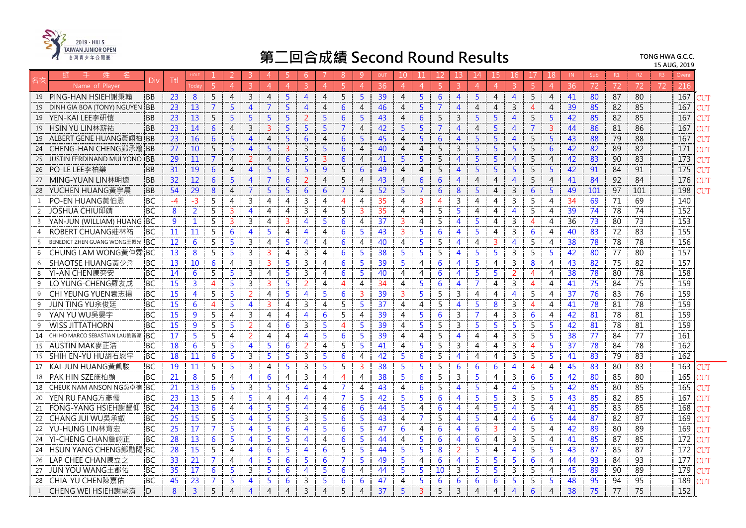

|    |                                                 |      | HOLE            |                |                | 3                       | Δ              | 5.             | -6                       |                | <sup>8</sup>             | <sub>9</sub>   | OUT | 10                    |                 |                |                          | 14                       | 15                       | 16                    |                          | 18             | IN. | Sub | R1 | R <sub>2</sub>  | R <sup>3</sup> |                 |       |
|----|-------------------------------------------------|------|-----------------|----------------|----------------|-------------------------|----------------|----------------|--------------------------|----------------|--------------------------|----------------|-----|-----------------------|-----------------|----------------|--------------------------|--------------------------|--------------------------|-----------------------|--------------------------|----------------|-----|-----|----|-----------------|----------------|-----------------|-------|
|    | Div<br>Name of Playe                            | Ttl  | oda             | $\overline{5}$ | $\overline{A}$ | $\mathcal{B}$           | $\overline{4}$ | $\overline{A}$ | $\mathbf{R}$             | $\overline{A}$ | 5                        | $\overline{4}$ | 36  | $\overline{4}$        | $\Lambda$       |                |                          |                          | $\Lambda$                |                       |                          | Δ              | 36  | 72  | 72 | 72              | 72             | 216             |       |
| 19 | PING-HAN HSIEH謝秉翰<br><b>BB</b>                  | 23   | 8               | 5              | $\overline{4}$ | 3                       | $\overline{4}$ | 5              | $\overline{4}$           | $\overline{4}$ | 5                        | 5              | 39  | 4                     | 5               | 6              | $\overline{4}$           | 5                        | $\overline{4}$           | $\overline{4}$        | 5                        | 4              | 41  | 80  | 87 | 80              |                | 167             |       |
| 19 | DINH GIA BOA (TONY) NGUYEN BB                   | 23   | 13              | $\overline{7}$ | $\overline{5}$ | $\overline{4}$          | $\overline{7}$ | 5              | $\overline{4}$           | $\overline{4}$ | 6                        | $\overline{4}$ | 46  | $\boldsymbol{\Delta}$ | 5               | $\overline{7}$ | $\overline{4}$           | $\overline{4}$           | $\overline{4}$           | $\overline{3}$        | $\boldsymbol{\Delta}$    | $\overline{4}$ | 39  | 85  | 82 | 85              |                | 167             |       |
| 19 | YEN-KAI LEE李研愷<br><b>BB</b>                     | 23   | 13              | 5              | 5              | 5                       | 5              | 5              | $\overline{\phantom{a}}$ | 5              | 6                        | 5              | 43  | 4                     | 6               | 5              | $\overline{3}$           | 5                        | -5                       | $\overline{4}$        | 5                        | 5              | 42  | 85  | 82 | 85              |                | 167             | 'UT   |
| 19 | +SIN YU LIN林薪祐<br><b>BB</b>                     | 23   | 14              | 6              | $\overline{4}$ | 3                       | 3              | 5              | 5                        | 5              | 7                        | $\overline{4}$ | 42  | 5                     | 5               |                | $\overline{4}$           | 4                        | 5                        | 4                     |                          | 3              | 44  | 86  | 81 | 86              |                | 167             |       |
| 19 | ALBERT GENE HUANG黃翊柏 IBB                        | 23   | 16              | 6              | 5 <sup>5</sup> | $\overline{4}$          | $\overline{4}$ | $\overline{5}$ | 6                        | 4              | 6                        | 5              | 45  | $\overline{4}$        | 5               | 6              | $\overline{4}$           | 5                        | $5^{\circ}$              | $\overline{4}$        | 5                        | $5^{\circ}$    | 43  | 88  | 79 | 88              |                | 167             | TUT   |
| 24 | CHENG-HAN CHENG鄭承瀚 IBB                          | 27   | 10              | 5              | $\overline{5}$ | $\overline{4}$          | $\overline{5}$ | $\overline{3}$ | $\mathbf{3}$             | 5              | 6                        | $\overline{4}$ | 40  | 4                     | $\overline{4}$  | 5              | 3                        | 5                        | 5                        | 5                     | 5                        | 6              | 42  | 82  | 89 | 82              |                | 171             |       |
| 25 | JUSTIN FERDINAND MULYONO BB                     | 29   | 11              | $\overline{7}$ | $\overline{4}$ | $\overline{2}$          | $\overline{4}$ | 6              | 5                        | $\overline{3}$ | 6                        | $\overline{4}$ | 41  | $\overline{5}$        | 5               | $\overline{5}$ | $\Delta$                 | 5                        | $\overline{5}$           | $\overline{4}$        | 5                        | $\overline{4}$ | 42  | 83  | 90 | 83              |                | 173             |       |
| 26 | PO-LE LEE李柏樂<br><b>BB</b>                       | 31   | 19              | 6              | $\overline{4}$ | 4                       | 5              | 5              | 5                        | 9              | 5                        | 6              | 49  | 4                     | 4               | 5              | $\overline{4}$           | 5                        | -5                       | 5                     | 5                        | 5              | 42  | 91  | 84 | 91              |                | 175             | 'UT   |
| 27 | MING-YUAN LIN林明遠<br><b>BB</b>                   | 32   | 12              | 6              | 5              | 4                       | $\overline{7}$ | 6              | 2                        | $\overline{4}$ | 5                        | $\overline{4}$ | 43  | 4                     | 6               | 6              | $\overline{4}$           | 4                        | $\overline{4}$           | $\overline{4}$        | 5                        | 4              | 41  | 84  | 92 | 84              |                | 176             |       |
| 28 | YUCHEN HUANG黃宇晨<br><b>BB</b>                    | 54   | 29              | 8              | $\overline{4}$ | $\overline{7}$          | 5 <sup>5</sup> | 5              | 6                        | 6              | $\overline{7}$           | $\overline{4}$ | 52  | 5                     | $\overline{7}$  | 6              | 8                        | 5                        | $\overline{4}$           | 3                     | 6                        | 5              | 49  | 101 | 97 | 101             |                | 198             | ЧT    |
| 1  | PO-EN HUANG黃伯恩<br>BC                            | $-4$ | $-3$            | 5              | $\overline{4}$ | $\overline{3}$          | $\overline{4}$ | 4              | 3                        | $\overline{4}$ | $\overline{\mathcal{A}}$ | $\overline{4}$ | 35  | 4                     | З               | Δ              | 3                        | $\overline{\mathcal{A}}$ | $\overline{\mathcal{A}}$ | 3                     | 5                        | $\Delta$       | 34  | 69  | 71 | 69              |                | 140             |       |
| 2  | JOSHUA CHIU邱靖<br><b>BC</b>                      | 8    | $\overline{2}$  | 5              | $\overline{3}$ | $\overline{4}$          | 4              | 4              | 3                        | 4              | 5                        | 3              | 35  | 4                     | 4               | 5              | 5                        | 4                        | $\overline{4}$           | Δ                     | 5                        | 4              | 39  | 74  | 78 | 74              |                | 152             |       |
| 3  | YAN-JUN (WILLIAM) HUANG BC                      | 9    | $\mathbf{1}$    | 5              | $\overline{3}$ | 3                       | 4              | 3              | 4                        | 5              | 6                        | $\overline{4}$ | 37  | 3                     | 4               | 5              | $\overline{4}$           | 5                        | 4                        | 3                     | $\overline{4}$           | 4              | 36  | 73  | 80 | 73              |                | 153             |       |
|    | ROBERT CHUANG莊林祐<br><b>BC</b>                   | 11   | 11              | 5              | 6              | $\overline{4}$          | 5              | 4              | 4                        | 4              | 6                        | 5              | 43  | 3                     | 5               | 6              | $\overline{4}$           | 5                        | 4                        | $\overline{3}$        | 6                        | 4              | 40  | 83  | 72 | 83              |                | 155             |       |
| 5  | <b>BENEDICT ZHEN GUANG WONG王振光</b><br><b>BC</b> | 12   | 6               | 5              | 5              | 3                       | 4              | 5              | 4                        | 4              | 6                        | 4              | 40  | 4                     | 5               | 5              | $\overline{4}$           | 4                        | 3                        | $\overline{4}$        | 5                        | 4              | 38  | 78  | 78 | 78              |                | 156             |       |
| 6  | <b>CHUNG LAM WONG</b> 黃仲霖 BC                    | 13   | 8               | 5              | 5              | 3                       | $\overline{3}$ | 4              | 3                        | $\overline{4}$ | 6                        | 5              | 38  | 5                     | 5               | 5              | $\overline{\mathbf{A}}$  | 5                        | 5                        | 3                     | 5                        | 5              | 42  | 80  | 77 | 80              |                | 157             |       |
| 6  | SHAOTSE HUANG黃少澤<br><b>BC</b>                   | 13   | 10              | 6              | $\overline{4}$ | $\overline{3}$          | $\overline{3}$ | 5              | 3                        | 4              | 6                        | 5              | 39  | 5                     | 4               | 6              | $\overline{4}$           | 5                        | 4                        | 3                     | 8                        | 4              | 43  | 82  | 75 | 82              |                | 157             |       |
| 8  | YI-AN CHEN陳奕安<br>BC                             | 14   | 6               | 5              | $5^{\circ}$    | 3                       | 4              | 5              | 3                        | 4              | 6                        | 5              | 40  | 4                     | 4               | 6              | $\overline{4}$           | 5                        | 5                        | 2                     | $\overline{A}$           | 4              | 38  | 78  | 80 | 78              |                | 158             |       |
| 9  | <b>BC</b><br>.O YUNG-CHENG羅友成                   | 15   | $\overline{3}$  | $\overline{4}$ | 5              | 3                       | $\overline{3}$ | 5              | $\overline{\phantom{a}}$ | 4              | $\overline{4}$           | $\overline{4}$ | 34  | 4                     | 5               | 6              | $\boldsymbol{\Lambda}$   | 7                        | 4                        | $\overline{3}$        | $\overline{A}$           | 4              | 41  | 75  | 84 | 75              |                | 159             |       |
| 9  | CHI YEUNG YUEN袁志揚<br><b>BC</b>                  | 15   | $\overline{4}$  | 5              | 5              | $\overline{2}$          | 4              | 5              | 4                        | 5              | 6                        | $\overline{3}$ | 39  | 3                     | 5               | .5             | 3                        | 4                        | 4                        | $\overline{4}$        | 5                        | 4              | 37  | 76  | 83 | 76              |                | 159             |       |
| 9  | JUN TING YU余俊廷<br><b>BC</b>                     | 15   | $6\phantom{1}6$ | $\overline{4}$ | $\overline{5}$ | $\overline{4}$          | $\overline{3}$ | 4              | 3                        | 4              | 5                        | $\overline{5}$ | 37  | 4                     | $\overline{4}$  | 5              | $\overline{\mathbf{4}}$  | 5                        | 8                        | 3                     | $\overline{4}$           | 4              | 41  | 78  | 81 | 78              |                | 159             |       |
| 9  | YAN YU WU吳晏宇<br><b>BC</b>                       | 15   | 9               | 5              | $\overline{4}$ | 3                       | 4              | 4              | 4                        | 6              | 5                        | 4              | 39  | 4                     | 5               | 6              | 3                        | $\overline{7}$           | $\overline{4}$           | 3                     | 6                        | 4              | 42  | 81  | 78 | 81              |                | 159             |       |
| 9  | WISS JITTATHORN<br><b>BC</b>                    | 15   | $\overline{9}$  | 5              | $\overline{5}$ | 2                       | 4              | 6              | $\overline{3}$           | 5              | $\overline{4}$           | 5              | 39  | 4                     | 5               | 5              | 3                        | 5                        | 5                        | 5                     | 5                        | -5             | 42  | 81  | 78 | 81              |                | 159             |       |
| 14 | <b>BC</b><br>CHI HO MARCO SEBASTIAN LAU劉智豪      | 17   | $\overline{5}$  | 5              | $\overline{4}$ | 2                       | 4              | 4              | 4                        | 5              | 6                        | 5              | 39  | 4                     | 4               | 5              | $\overline{\mathbf{4}}$  | 4                        | 4                        | 3                     | 5                        | 5              | 38  | 77  | 84 | $\overline{77}$ |                | 161             |       |
| 15 | AUSTIN MAK麥正浩<br><b>BC</b>                      | 18   | 6               | 5              | 5              | $\overline{\mathbf{4}}$ | 5              | 6              | $\overline{2}$           | $\overline{4}$ | 5                        | 5              | 41  | 4                     | 5               | 5              | 3                        | 4                        | 4                        | 3                     | 4                        | 5              | 37  | 78  | 84 | 78              |                | 162             |       |
| 15 | SHIH EN-YU HU胡石恩宇<br><b>BC</b>                  | 18   | 11              | 6              | 5              | $\overline{3}$          | $\overline{5}$ | 5              | 3                        | 5              | 6                        | $\overline{4}$ | 42  | 5                     | $6\phantom{1}6$ | 5              | $\overline{4}$           | $\overline{4}$           | $\overline{4}$           | 3                     | 5                        | 5              | 41  | 83  | 79 | 83              |                | $\frac{1}{162}$ |       |
| 17 | KAI-JUN HUANG黃凱駿<br><b>BC</b>                   | 19   | 11              | 5              | 5              | 3                       | 4              | 5              | 3                        | 5              | 5                        | 3              | 38  | 5                     | 5               | 5              | 6                        | 6                        | 6                        | $\overline{4}$        | $\overline{\mathcal{A}}$ | 4              | 45  | 83  | 80 | 83              |                | 163             |       |
| 18 | PAK HIN SZE施柏顯<br><b>BC</b>                     | 21   | 8               | 5              | $\overline{4}$ | $\overline{4}$          | 6              | 4              | 3                        | 4              | $\overline{4}$           | 4              | 38  | 5                     | 6               | .5             | 3                        | 5                        | 4                        | 3                     | 6                        | -5             | 42  | 80  | 85 | 80              |                | 165             |       |
| 18 | CHEUK NAM ANSON NG吳卓楠 IBC                       | 21   | 13              | 6              | $\overline{5}$ | 3                       | 5              | 5              | $\overline{4}$           | 4              | $\overline{7}$           | $\overline{4}$ | 43  | 4                     | 6               | 5              | $\overline{4}$           | $\overline{5}$           | 4                        | $\overline{4}$        | 5                        | 5              | 42  | 85  | 80 | 85              |                | 165             | 'UT   |
| 20 | YEN RU FANG方彥儒<br><b>BC</b>                     | 23   | 13              | 5              | $\overline{4}$ | 5                       | 4              | 4              | 4                        | $\overline{4}$ | $\overline{7}$           | 5              | 42  | 5                     | 5               | 6              | 4                        | 5                        | 5                        | 3                     | 5                        | 5              | 43  | 85  | 82 | 85              |                | 167             |       |
| 21 | FONG-YANG HSIEH謝豐仰<br><b>BC</b>                 | 24   | 13              | 6              | $\overline{4}$ | 4                       | 5              | 5              | 4                        | 4              | 6                        | 6              | 44  | 5                     | 4               | 6              | $\overline{4}$           | 4                        | 5                        | $\overline{4}$        | 5                        | 4              | 41  | 85  | 83 | 85              |                | 168             | דו זי |
| 22 | CHANG JUI WU吳承叡<br>BC                           | 25   | 15              | 5              | $\overline{5}$ | $\overline{4}$          | 5              | 5              | 3                        | 5              | 6                        | 5              | 43  | 4                     | 7               | 5              | $\overline{\mathcal{A}}$ | 5                        | 4                        | 4                     | 6                        | 5.             | 44  | 87  | 82 | 87              |                | 169             | 'UT   |
| 22 | YU-HUNG LIN林育宏<br><b>BC</b>                     | 25   | 17              | $\overline{7}$ | $\overline{5}$ | $\overline{4}$          | 5              | 6              | 4                        | 5              | 6                        | 5              | 47  | 6                     | 4               | 6              | $\overline{4}$           | 6                        | 3                        | $\overline{4}$        | 5                        | 4              | 42  | 89  | 80 | 89              |                | 169             |       |
| 24 | YI-CHENG CHAN詹翊正<br><b>BC</b>                   | 28   | 13              | 6              | 5              | $\overline{4}$          | 5              | 5              | 4                        | $\overline{4}$ | 6                        | 5              | 44  | 4                     | 5               | 6              | $\overline{4}$           | 6                        | $\overline{4}$           | 3                     | 5                        | 4              | 41  | 85  | 87 | 85              |                | 172             | 'UT   |
| 24 | HSUN YANG CHENG鄭勛<br><b>BC</b>                  | 28   | 15              | 5              | $\overline{4}$ | $\overline{4}$          | 6              | 5              | 4                        | 6              | 5                        | 5              | 44  | 5                     | 5               | 8              |                          | 5                        | 4                        | $\overline{4}$        | 5                        | 5              | 43  | 87  | 85 | 87              |                | 172             |       |
| 26 | -AP CHEE CHAN陳立之<br>BC                          | 33   | 21              | $\overline{7}$ | 4              | 4                       | 5              | 6              | 5                        | 6              | 7                        | 5              | 49  | 5                     | 4               | 6              | $\overline{4}$           | 5                        | 5                        | .5                    | 6                        | 4              | 44  | 93  | 84 | 93              |                | 177             |       |
| 27 | JUN YOU WANG王郡佑<br><b>BC</b>                    | 35   | 17              | 6              | $\overline{5}$ | 3                       | 5              | 6              | 4                        | 5              | 6                        | $\overline{4}$ | 44  | 5                     | 5               | 10             | 3                        | 5                        | 5                        | 3                     | 5                        | 4              | 45  | 89  | 90 | 89              |                | 179             | 'nТ   |
| 28 | <b>BC</b><br>CHIA-YU CHEN陳嘉佑                    | 45   | 23              | $\overline{7}$ | 5              | 4                       | 5              | 6              | 3                        | 5              | 6                        | 6              | 47  | 4                     | -5              | 6              | 6                        | 6                        | 6                        | 5                     | 5                        | 5              | 48  | 95  | 94 | 95              |                | 189             |       |
| 1  | <sup>n</sup><br>ICHENG WEI HSIEH謝承洧             | 8    | $\overline{3}$  | 5              | $\overline{4}$ | 4                       | 4              | 4              | $\overline{3}$           | 4              | 5                        | 4              | 37  |                       |                 |                | 3                        | 4                        | $\overline{4}$           | $\boldsymbol{\Delta}$ | 6                        | 4              | 38  | 75  | 77 | 75              |                | 152             |       |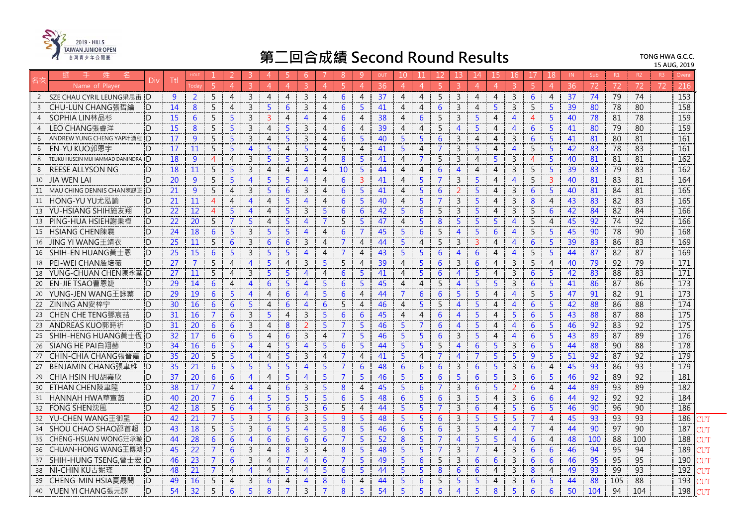

|                                     | Di             | Ttl |                  |                |                |                | 4              |                | 6              |                | 8              |                | OU | 10             |                |                |                 |                 |                |                         |                 | 18             |    | Sub | R1  |     | R <sub>3</sub> |                  |  |
|-------------------------------------|----------------|-----|------------------|----------------|----------------|----------------|----------------|----------------|----------------|----------------|----------------|----------------|----|----------------|----------------|----------------|-----------------|-----------------|----------------|-------------------------|-----------------|----------------|----|-----|-----|-----|----------------|------------------|--|
| Name of Player                      |                |     | oda <sup>-</sup> | $\overline{5}$ | $\Delta$       | $\overline{3}$ | $\overline{4}$ | $\overline{4}$ | $\mathcal{R}$  | $\overline{A}$ | -5             | $\Delta$       | 36 | $\Delta$       | $\Delta$       | 5              | $\overline{3}$  | $\overline{4}$  | $\overline{4}$ | $\overline{3}$          | $\overline{5}$  | $\overline{A}$ | 36 | 72  | 72  | 72  | 72             | 216              |  |
| 2 SZE CHAU CYRIL LEUNG梁思宙 D         |                | 9   | $\overline{2}$   | 5              | $\overline{4}$ | 3              | $\overline{4}$ | $\overline{4}$ | $\overline{3}$ | $\overline{4}$ | 6              | $\overline{4}$ | 37 | $\overline{4}$ | 4              | 5              | 3               | $\overline{4}$  | $\overline{4}$ | $\mathbf{3}$            | 6               | $\overline{4}$ | 37 | 74  | 79  | 74  |                | $\overline{153}$ |  |
| ICHU-LUN CHANG張哲綸<br>3              | D              | 14  | 8                | 5              | $\overline{4}$ | 3              | 5              | 6              | $\overline{3}$ | $\overline{4}$ | 6              | -5             | 41 | 4              | 4              | 6              | $\overline{3}$  | $\overline{4}$  | 5              | $\mathbf{3}$            | 5               | 5              | 39 | 80  | 78  | 80  |                | 158              |  |
| SOPHIA LIN林品杉<br>$\overline{4}$     | <sup>'</sup> D | 15  | 6                | 5              | 5              | $\overline{3}$ | $\overline{3}$ | $\overline{4}$ | $\overline{4}$ | $\overline{4}$ | 6              | $\overline{4}$ | 38 | $\overline{4}$ | 6              | 5              | $\overline{3}$  | 5               | $\overline{4}$ | $\overline{4}$          | $\overline{4}$  | 5              | 40 | 78  | 81  | 78  |                | 159              |  |
| LEO CHANG張睿洋<br>4                   | D              | 15  | 8                | 5              | 5              | $\mathsf{3}$   | $\overline{4}$ | 5              | 3              | $\overline{4}$ | 6              | $\overline{4}$ | 39 | 4              | $\overline{4}$ | 5              | 4               | 5               | $\overline{4}$ | $\overline{4}$          | 6               | 5              | 41 | 80  | 79  | 80  |                | 159              |  |
| 6<br>ANDREW YUNG CHENG YAP叶湧程       | D              | 17  | $\overline{9}$   | 5              | $\overline{5}$ | 3              | $\overline{4}$ | 5              | $\overline{3}$ | $\overline{4}$ | 6              | -5             | 40 | 5              | 5              | 6              | 3               | $\overline{4}$  | $\overline{4}$ | $\mathbf{3}$            | 6               | 5              | 41 | 81  | 80  | 81  |                | 161              |  |
| IEN-YU KUO郭恩宇<br>6                  | D              | 17  | 11               | 5              | $\overline{5}$ | $\overline{4}$ | 5              | $\overline{4}$ | -5             | $\overline{4}$ | 5              | $\overline{A}$ | 41 | 5.             | $\overline{4}$ | $\overline{7}$ | $\overline{3}$  | 5               | $\overline{4}$ | $\overline{\mathbf{A}}$ | 5               | 5              | 42 | 83  | 78  | 83  |                | 161              |  |
| TEUKU HUSEIN MUHAMMAD DANINDRA<br>8 | D              | 18  | 9                | $\overline{4}$ | $\overline{4}$ | $\overline{3}$ | 5              | 5              | $\overline{3}$ | $\overline{4}$ | 8              | -5             | 41 | $\overline{4}$ | $\overline{7}$ | 5              | $\overline{3}$  | $\overline{4}$  | 5              | $\mathbf{3}$            | $\overline{4}$  | 5              | 40 | 81  | 81  | 81  |                | 162              |  |
| <b>REESE ALLYSON NG</b>             | $\Box$         | 18  | 11               | 5              | $\overline{5}$ | 3              | $\overline{4}$ | $\overline{4}$ | $\overline{4}$ | $\overline{4}$ | <b>10</b>      | -5             | 44 | 4              | $\overline{4}$ | 6              | $\overline{4}$  | $\overline{4}$  | $\overline{4}$ | 3                       | 5               | 5              | 39 | 83  | 79  | 83  |                | 162              |  |
| <b>JIA WEN LAI</b><br>10            | D.             | 20  | $\overline{9}$   | 5              | 5              | $\overline{4}$ | 5              | 5              | $\overline{4}$ | $\overline{4}$ | 6              | $\overline{3}$ | 41 | 4              | 5              | $\overline{7}$ | $\overline{3}$  | 5               | $\overline{4}$ | $\overline{4}$          | 5               | $\overline{3}$ | 40 | 81  | 83  | 81  |                | 164              |  |
| MAU CHING DENNIS CHAN陳謀正 D<br>11    |                | 21  | $\overline{9}$   | 5              | $\overline{4}$ | 3              | 5              | 6              | 3              | $\overline{4}$ | 6              | 5              | 41 | 4              | 5              | 6              | $\overline{2}$  | 5               | $\overline{4}$ | $\mathbf{3}$            | 6               | 5              | 40 | 81  | 84  | 81  |                | 165              |  |
| HONG-YU YU尤泓諭<br>11                 | D              | 21  | 11               | $\overline{4}$ | $\overline{4}$ | $\overline{4}$ | 4              | -5             | $\overline{4}$ | $\overline{4}$ | 6              | -5             | 40 | 4              | 5              | $\overline{7}$ | $\overline{3}$  | 5 <sup>1</sup>  | $\overline{4}$ | $\mathsf{3}$            | 8               | 4              | 43 | 83  | 82  | 83  |                | 165              |  |
| YU-HSIANG SHIH施友翔<br>13             | D              | 22  | 12               | $\overline{4}$ | 5              | $\overline{4}$ | $\overline{4}$ | 5              | $\overline{3}$ | 5              | 6              | 6              | 42 | 5              | 6              | 5              | $\overline{3}$  | 5               | $\overline{4}$ | $\mathsf{3}$            | 5               | 6              | 42 | 84  | 82  | 84  |                | 166              |  |
| PING-HUA HSIEH謝秉樺<br>13             | $\Box$         | 22  | 20               | 5              | $\overline{7}$ | 5              | $\overline{4}$ | 5              | $\overline{4}$ | $\overline{7}$ | 5              | -5             | 47 | $\overline{4}$ | 5              | 8              | 5               | $5^{\circ}$     | 5              | $\overline{4}$          | 5               | $\overline{4}$ | 45 | 92  | 74  | 92  |                | 166              |  |
| HSIANG CHEN陳襄<br>15                 | D              | 24  | 18               | 6              | 5 <sup>5</sup> | $\overline{3}$ | 5              | 5              | $\overline{4}$ | $\overline{4}$ | 6              | 7              | 45 | 5              | 6              | 5              | $\overline{4}$  | 5               | 6              | $\overline{4}$          | 5               | 5              | 45 | 90  | 78  | 90  |                | 168              |  |
| JING YI WANG干靖衣<br>16               | D              | 25  | 11               | 5              | 6              | $\overline{3}$ | 6              | 6              | 3              | $\overline{4}$ | 7              | $\overline{4}$ | 44 | 5              | 4              | 5              | 3               | 3               | 4              | 4                       | 6               | 5              | 39 | 83  | 86  | 83  |                | 169              |  |
| ISHIH-EN HUANG黃士恩<br>16             | D              | 25  | 15               | 6              | $\overline{5}$ | 3              | 5              | $\overline{5}$ | $\overline{4}$ | $\overline{4}$ | $\overline{7}$ | $\overline{4}$ | 43 | 5 <sup>1</sup> | 5              | 6              | $\overline{4}$  | 6               | $\overline{4}$ | $\overline{4}$          | 5               | 5              | 44 | 87  | 82  | 87  |                | 169              |  |
| IPEI-WEI CHAN詹培薇<br>18              | D              | 27  | $\overline{7}$   | 5              | $\overline{4}$ | $\overline{4}$ | 5              | $\overline{4}$ | 3              | -5             | 5              | $\overline{4}$ | 39 | 4              | 5              | 6              | 3               | 6               | $\overline{4}$ | $\mathbf{3}$            | 5               | $\overline{4}$ | 40 | 79  | 92  | 79  |                | 171              |  |
| :YUNG-CHUAN CHEN陳永荃 ID<br>18        |                | 27  | 11               | $\overline{5}$ | $\overline{4}$ | 3              | $\overline{5}$ | 5              | $\overline{4}$ | $\overline{4}$ | 6              | -5             | 41 | $\overline{4}$ | $5^{\circ}$    | 6              | $\overline{4}$  | $\overline{5}$  | $\overline{4}$ | $\mathbf{3}$            | 6               | 5              | 42 | 83  | 88  | 83  |                | 171              |  |
| EN-JIE TSAO曹恩婕<br>20                | D              | 29  | 14               | 6              | $\overline{4}$ | $\overline{4}$ | 6              | 5              | $\overline{4}$ | 5              | 6              | 5              | 45 | $\overline{4}$ | $\overline{4}$ | 5              | $\overline{4}$  | 5               | 5              | $\mathsf{3}$            | $6\phantom{1}6$ | 5              | 41 | 86  | 87  | 86  |                | 173              |  |
| YUNG-JEN WANG王詠蓁<br>20              | D              | 29  | 19               | 6              | 5              | $\overline{4}$ | 4              | 6              | $\overline{4}$ | -5             | 6              | $\overline{4}$ | 44 | 7              | 6              | 6              | 5               | 5               | 4              | 4                       | 5               | 5              | 47 | 91  | 82  | 91  |                | 173              |  |
| ZINING AN安梓宁<br>22                  | D              | 30  | 16               | 6              | 6              | 5              | $\overline{4}$ | 6              | $\overline{4}$ | 6              | 5              | $\overline{4}$ | 46 | $\overline{4}$ | 5              | 5              | $\overline{4}$  | $\overline{5}$  | $\overline{4}$ | $\overline{4}$          | 6               | 5              | 42 | 88  | 86  | 88  |                | 174              |  |
| ICHEN CHE TENG鄧宸喆<br>23             | D              | 31  | 16               | $\overline{7}$ | 6              | 3              | 5              | $\overline{4}$ | $\overline{3}$ | 5              | 6              | 6              | 45 | $\overline{4}$ | $\overline{4}$ | 6              | $\overline{4}$  | 5               | $\overline{4}$ | $\overline{5}$          | 6               | 5              | 43 | 88  | 87  | 88  |                | 175              |  |
| ANDREAS KUO郭時祈<br>23                | <sub>D</sub>   | 31  | 20               | 6              | 6              | 3              | $\overline{4}$ | 8              | 2              | 5              | $\overline{7}$ | $\overline{5}$ | 46 | 5              | $\overline{7}$ | 6              | $\overline{4}$  | $\overline{5}$  | $\overline{4}$ | $\overline{4}$          | 6               | 5              | 46 | 92  | 83  | 92  |                | 175              |  |
| !SHIH-HENG HUANG黃十倆 !D<br>25        |                | 32  | 17               | 6              | 6              | 5              | $\overline{4}$ | 6              | $\overline{3}$ | $\overline{4}$ | $\overline{7}$ | -5             | 46 | 5.             | 5.             | 6              | $\overline{3}$  | 5               | $\overline{4}$ | $\overline{4}$          | 6               | 5              | 43 | 89  | 87  | 89  |                | 176              |  |
| SIANG HE PAI白翔赫<br>26               | .D             | 34  | 16               | 6              | 5              | $\overline{4}$ | 4              | 5              | $\overline{4}$ | 5              | 6              | -5             | 44 | 5              | 5              | 5              | $\overline{4}$  | 6               | 5              | 3                       | 6               | 5              | 44 | 88  | 90  | 88  |                | 178              |  |
| ICHIN-CHIA CHANG張晉嘉<br>27           | D              | 35  | 20               | $\overline{5}$ | $\overline{5}$ | $\overline{4}$ | $\overline{4}$ | $\overline{5}$ | 3              | $\overline{4}$ | $\overline{7}$ | $\overline{4}$ | 41 | 5              | $\overline{4}$ | $\overline{7}$ | $\overline{4}$  | $\overline{7}$  | 5 <sup>5</sup> | 5 <sup>5</sup>          | $\overline{9}$  | 5              | 51 | 92  | 87  | 92  |                | 179              |  |
| BENJAMIN CHANG張聿維<br>27             | D              | 35  | 21               | 6              | $\overline{5}$ | 5              | 5              | 5              | $\overline{4}$ | -5             | $\overline{7}$ | 6              | 48 | 6              | 6              | 6              | 3               | 6               | 5 <sup>5</sup> | $\mathbf{3}$            | 6               | $\overline{4}$ | 45 | 93  | 86  | 93  |                | 179              |  |
| CHIA HSIN HU胡嘉欣<br>29               | D              | 37  | 20               | 6              | 6              | $\overline{4}$ | $\overline{4}$ | 5              | $\overline{4}$ | 5              | $\overline{7}$ | 5              | 46 | 5              | 5              | 6              | 5               | 6               | $\overline{5}$ | $\overline{3}$          | $6\phantom{1}6$ | 5              | 46 | 92  | 89  | 92  |                | 181              |  |
| ETHAN CHEN陳聿陞<br>30                 | D              | 38  | 17               | $\overline{7}$ | $\overline{4}$ | $\overline{4}$ | 4              | 6              | 3              | -5             | 8              | $\overline{4}$ | 45 | 5.             | 6              | $\overline{7}$ | 3               | 6               | 5              | $\mathcal{P}$           | 6               | $\overline{4}$ | 44 | 89  | 93  | 89  |                | 182              |  |
| HANNAH HWA華宣菡<br>31                 | iD.            | 40  | 20               | $\overline{7}$ | 6              | $\overline{4}$ | 5              | 5              | 5              | 5              | 6              | 5              | 48 | 6              | 5              | 6              | $\overline{3}$  | 5.              | $\overline{4}$ | 3                       | 6               | 6              | 44 | 92  | 92  | 92  |                | 184              |  |
| FONG SHEN沈風<br>32                   | :D             | 42  | 18               | 5              | 6              | $\overline{4}$ | 5              | 6              | 3              | 6              | 5              | $\overline{4}$ | 44 | 5              | 5              | $\overline{7}$ | 3               | $6\phantom{1}6$ | $\overline{4}$ | 5 <sub>5</sub>          | 6               | 5              | 46 | 90  | 96  | 90  |                | 186              |  |
| 32 YU-CHEN WANG王御呈                  | D              | 42  | 21               | $\overline{7}$ | 5 <sup>5</sup> | 3              | 5 <sup>5</sup> | 6              | $\overline{3}$ | -5             | $\overline{9}$ | -5             | 48 | 5              | 5              | 6              | $\overline{3}$  | 5               | 5 <sup>5</sup> | $\overline{5}$          | $\overline{7}$  | $\overline{4}$ | 45 | 93  | 93  | 93  |                | 186              |  |
| ISHOU CHAO SHAO邵首超<br>34            | <sup>'</sup> D | 43  | 18               | 5              | 5              | $\overline{3}$ | 6              | -5             | $\overline{4}$ | -5             | 8              | -5             | 46 | 6              | 5.             | 6              | $\overline{3}$  | 5               | $\overline{4}$ | $\overline{4}$          | $\overline{7}$  | $\overline{4}$ | 44 | 90  | 97  | 90  |                | 187              |  |
| <b>CHENG-HSUAN WONG汪承璇 D</b><br>35  |                | 44  | 28               | 6              | 6              | $\overline{4}$ | 6              | 6              | 6              | 6              | 7              | -5             | 52 | 8              | 5              | $\overline{7}$ | $\overline{4}$  | 5               | $\overline{5}$ | 4                       | 6               | 4              | 48 | 100 | 88  | 100 |                | 188              |  |
| CHUAN-HONG WANG王傳鴻 ID<br>36         |                | 45  | 22               | $\overline{7}$ | 6              | 3              | $\overline{4}$ | 8              | 3              | $\overline{4}$ | 8              | -5             | 48 | 5              | 5              | 7              | 3               | $\overline{7}$  | $\overline{4}$ | $\mathbf{3}$            | 6               | 6              | 46 | 94  | 95  | 94  |                | 189              |  |
| <b>SHIH-HUNG TSENG.曾士宏 ID</b><br>37 |                | 46  | 23               | $\overline{7}$ | 6              | 3              | $\overline{4}$ | $\overline{7}$ | $\overline{4}$ | 6              | $\overline{7}$ | -5             | 49 | 5              | 6              | 5              | 3               | 6               | 6              | $\mathbf{3}$            | 6               | 6              | 46 | 95  | 95  | 95  |                | 190              |  |
| NI-CHIN KU古妮瑾<br>38                 | D              | 48  | 21               | $\overline{7}$ | $\overline{4}$ | $\overline{4}$ | $\overline{4}$ | 5              | $\overline{4}$ | 5              | 6              | -5             | 44 | 5              | 5              | 8              | $6\phantom{1}6$ | 6               | $\overline{4}$ | $\overline{3}$          | 8               | $\overline{4}$ | 49 | 93  | 99  | 93  |                | 192              |  |
| CHENG-MIN HSIA夏晟閔<br>39             | D              | 49  | 16               | 5              | $\overline{4}$ | 3              | 6              | $\overline{4}$ | $\overline{4}$ | 8              | 6              | $\overline{4}$ | 44 | 5              | 6              | 5              | 5               | 5               | 4              | 3                       | 6               | 5              | 44 | 88  | 105 | 88  |                | 193              |  |
| YUEN YI CHANG張元譯<br>40              | <sup>n</sup>   | 54  | 32               | 5              | 6              | 5              | 8              | $\overline{7}$ | 3              | $\overline{7}$ | 8              | -5             | 54 | 5              | 5              | 6              | $\overline{4}$  | 5               | 8              | 5                       | 6               | 6              | 50 | 104 | 94  | 104 |                | 198              |  |